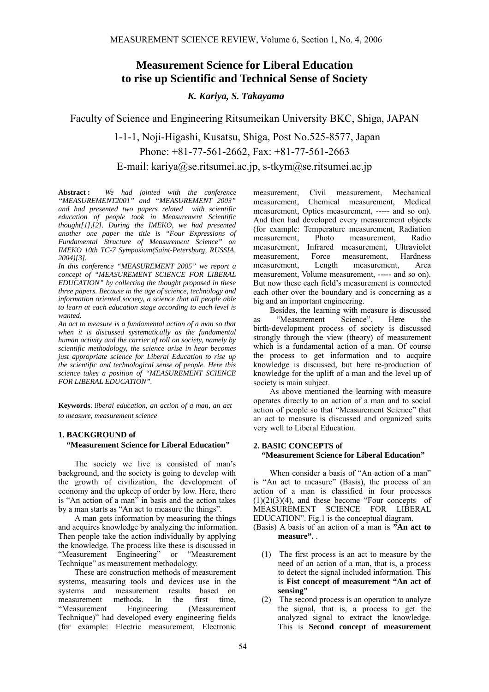# **Measurement Science for Liberal Education to rise up Scientific and Technical Sense of Society**

# *K. Kariya, S. Takayama*

Faculty of Science and Engineering Ritsumeikan University BKC, Shiga, JAPAN

 1-1-1, Noji-Higashi, Kusatsu, Shiga, Post No.525-8577, Japan Phone: +81-77-561-2662, Fax: +81-77-561-2663 E-mail: kariya@se.ritsumei.ac.jp, s-tkym@se.ritsumei.ac.jp

**Abstract :** *We had jointed with the conference "MEASUREMENT2001" and "MEASUREMENT 2003" and had presented two papers related with scientific education of people took in Measurement Scientific thought[1],[2]. During the IMEKO, we had presented another one paper the title is "Four Expressions of Fundamental Structure of Measurement Science" on IMEKO 10th TC-7 Symposium(Saint-Petersburg, RUSSIA, 2004)[3].*

*In this conference "MEASUREMENT 2005" we report a concept of "MEASUREMENT SCIENCE FOR LIBERAL EDUCATION" by collecting the thought proposed in these three papers. Because in the age of science, technology and information oriented society, a science that all people able to learn at each education stage according to each level is wanted.* 

*An act to measure is a fundamental action of a man so that when it is discussed systematically as the fundamental human activity and the carrier of roll on society, namely by scientific methodology, the science arise in hear becomes just appropriate science for Liberal Education to rise up the scientific and technological sense of people. Here this science takes a position of "MEASUREMENT SCIENCE FOR LIBERAL EDUCATION".* 

**Keywords**: l*iberal education, an action of a man, an act to measure, measurement science* 

# **1. BACKGROUND of "Measurement Science for Liberal Education"**

The society we live is consisted of man's background, and the society is going to develop with the growth of civilization, the development of economy and the upkeep of order by low. Here, there is "An action of a man" in basis and the action takes by a man starts as "An act to measure the things".

A man gets information by measuring the things and acquires knowledge by analyzing the information. Then people take the action individually by applying the knowledge. The process like these is discussed in<br>
"Measurement Engineering" or "Measurement" "Measurement Engineering" Technique" as measurement methodology.

These are construction methods of measurement systems, measuring tools and devices use in the systems and measurement results based on<br>measurement methods In the first time measurement methods. In the first time, "Measurement Engineering (Measurement Technique)" had developed every engineering fields (for example: Electric measurement, Electronic

measurement, Civil measurement, Mechanical measurement, Chemical measurement, Medical measurement, Optics measurement, ----- and so on). And then had developed every measurement objects (for example: Temperature measurement, Radiation measurement, Photo measurement, Radio measurement, Infrared measurement, Ultraviolet measurement, Force measurement, Hardness measurement, Length measurement, Area measurement, Volume measurement, ----- and so on). But now these each field's measurement is connected each other over the boundary and is concerning as a big and an important engineering.

Besides, the learning with measure is discussed<br>
"Measurement Science". Here the as "Measurement Science". Here the birth-development process of society is discussed strongly through the view (theory) of measurement which is a fundamental action of a man. Of course the process to get information and to acquire knowledge is discussed, but here re-production of knowledge for the uplift of a man and the level up of society is main subject.

As above mentioned the learning with measure operates directly to an action of a man and to social action of people so that "Measurement Science" that an act to measure is discussed and organized suits very well to Liberal Education.

#### **2. BASIC CONCEPTS of "Measurement Science for Liberal Education"**

When consider a basis of "An action of a man" is "An act to measure" (Basis), the process of an action of a man is classified in four processes  $(1)(2)(3)(4)$ , and these become "Four concepts of MEASUREMENT SCIENCE FOR LIBERAL EDUCATION". Fig.1 is the conceptual diagram.

(Basis) A basis of an action of a man is **"An act to measure".** .

- (1) The first process is an act to measure by the need of an action of a man, that is, a process to detect the signal included information. This is **Fist concept of measurement "An act of sensing"**
- (2) The second process is an operation to analyze the signal, that is, a process to get the analyzed signal to extract the knowledge. This is **Second concept of measurement**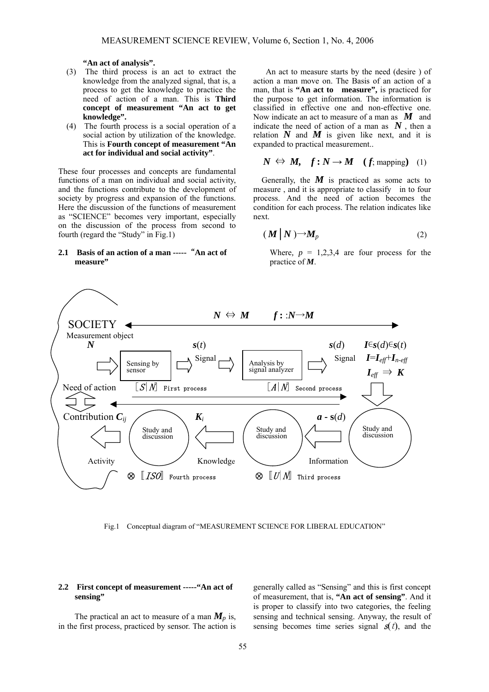**"An act of analysis".**

- (3) The third process is an act to extract the knowledge from the analyzed signal, that is, a process to get the knowledge to practice the need of action of a man. This is **Third concept of measurement "An act to get knowledge".**
- (4) The fourth process is a social operation of a social action by utilization of the knowledge. This is **Fourth concept of measurement "An act for individual and social activity"**.

These four processes and concepts are fundamental functions of a man on individual and social activity, and the functions contribute to the development of society by progress and expansion of the functions. Here the discussion of the functions of measurement as "SCIENCE" becomes very important, especially on the discussion of the process from second to fourth (regard the "Study" in Fig.1)

#### **2.1 Basis of an action of a man -----**"**An act of measure"**

An act to measure starts by the need (desire ) of action a man move on. The Basis of an action of a man, that is **"An act to measure",** is practiced for the purpose to get information. The information is classified in effective one and non-effective one. Now indicate an act to measure of a man as  $\boldsymbol{M}$  and indicate the need of action of a man as  $N$ , then a relation  $N$  and  $M$  is given like next, and it is expanded to practical measurement..

$$
N \Leftrightarrow M, \quad f: N \to M \quad (f; \text{mapping}) \quad (1)
$$

Generally, the  $M$  is practiced as some acts to measure , and it is appropriate to classify in to four process. And the need of action becomes the condition for each process. The relation indicates like next.

$$
(\boldsymbol{M} \big| \boldsymbol{N}) \rightarrow M_p \tag{2}
$$

Where,  $p = 1,2,3,4$  are four process for the practice of *M*.



Fig.1 Conceptual diagram of "MEASUREMENT SCIENCE FOR LIBERAL EDUCATION"

#### **2.2 First concept of measurement -----"An act of sensing"**

The practical an act to measure of a man  $M_p$  is, in the first process, practiced by sensor. The action is generally called as "Sensing" and this is first concept of measurement, that is, **"An act of sensing"**. And it is proper to classify into two categories, the feeling sensing and technical sensing. Anyway, the result of sensing becomes time series signal  $s(t)$ , and the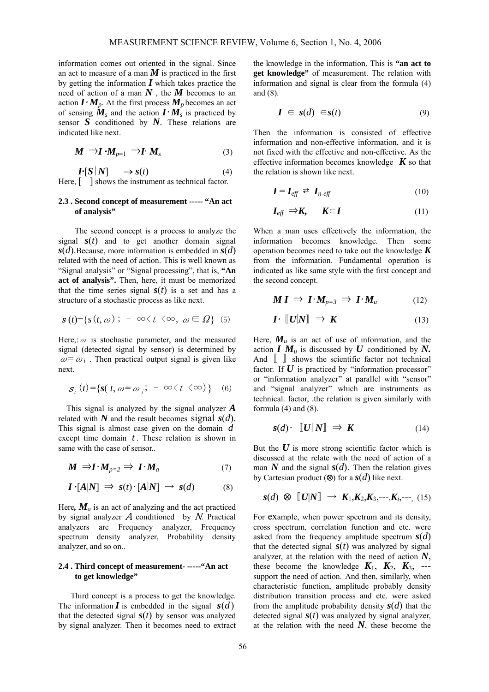information comes out oriented in the signal. Since an act to measure of a man  $M$  is practiced in the first by getting the information *I* which takes practice the need of action of a man *N* , the *M* becomes to an action  $I \cdot M_p$ . At the first process  $M_p$  becomes an act of sensing  $\dot{M}_s$  and the action  $\dot{I}$   $\cdot \dot{M}_s$  is practiced by sensor  $\overline{S}$  conditioned by  $\overline{N}$ . These relations are indicated like next.

$$
M \Rightarrow I \cdot M_{p=1} \Rightarrow I \cdot M_s \tag{3}
$$

$$
\mathbf{I} \cdot [S \mid N] \longrightarrow s(t) \tag{4}
$$
  
Here,  $\begin{bmatrix} \cdot & \cdot & \cdot \\ \cdot & \cdot & \cdot \\ \cdot & \cdot & \cdot \\ \cdot & \cdot & \cdot \end{bmatrix}$  shows the instrument as technical factor.

#### **2.3 . Second concept of measurement ----- "An act of analysis"**

The second concept is a process to analyze the signal  $s(t)$  and to get another domain signal *s*(*d*).Because, more information is embedded in *s*(*d*) related with the need of action. This is well known as "Signal analysis" or "Signal processing", that is, **"An act of analysis".** Then, here, it must be memorized that the time series signal  $s(t)$  is a set and has a structure of a stochastic process as like next.

$$
\mathbf{s}(t) = \{ s(t, \omega) \; ; \; -\infty \langle t \; \langle \infty, \; \omega \in \varOmega \} \; (5)
$$

Here,:  $\omega$  is stochastic parameter, and the measured signal (detected signal by sensor) is determined by  $\omega = \omega_i$ . Then practical output signal is given like next.

$$
\mathbf{s}_{i}(t) = \{ \mathbf{s}(t, \omega = \omega_{i}; -\infty \langle t \langle \infty \rangle ) \} \quad (6)
$$

This signal is analyzed by the signal analyzer *A* related with  $N$  and the result becomes signal  $s(d)$ . This signal is almost case given on the domain *d* except time domain  $t$ . These relation is shown in same with the case of sensor..

$$
M \Rightarrow I \cdot M_{p=2} \Rightarrow I \cdot M_a \tag{7}
$$

$$
I \cdot [A|N] \Rightarrow s(t) \cdot [A|N] \rightarrow s(d) \tag{8}
$$

Here,  $\mathbf{M}_a$  is an act of analyzing and the act practiced by signal analyzer  $A$  conditioned by  $N$ . Practical analyzers are Frequency analyzer, Frequency spectrum density analyzer, Probability density analyzer, and so on..

### **2.4 . Third concept of measurement- -----"An act to get knowledge"**

Third concept is a process to get the knowledge. The information  $\boldsymbol{I}$  is embedded in the signal  $s(d)$ that the detected signal  $s(t)$  by sensor was analyzed by signal analyzer. Then it becomes need to extract the knowledge in the information. This is **"an act to get knowledge"** of measurement. The relation with information and signal is clear from the formula (4) and (8).

$$
I \in s(d) \in s(t) \tag{9}
$$

Then the information is consisted of effective information and non-effective information, and it is not fixed with the effective and non-effective. As the effective information becomes knowledge  $\boldsymbol{K}$  so that the relation is shown like next.

$$
\boldsymbol{I} = \boldsymbol{I}_{\text{eff}} \, \boldsymbol{\rightleftarrows} \, \boldsymbol{I}_{n\text{-eff}} \tag{10}
$$

$$
I_{\text{eff}} \Rightarrow K, \qquad K \in I \tag{11}
$$

When a man uses effectively the information, the information becomes knowledge. Then some operation becomes need to take out the knowledge *K* from the information. Fundamental operation is indicated as like same style with the first concept and the second concept.

$$
MI \Rightarrow I \cdot M_{p=3} \Rightarrow I \cdot M_u \tag{12}
$$

$$
\boldsymbol{I} \cdot \llbracket \boldsymbol{U} | \boldsymbol{N} \rrbracket \Rightarrow \boldsymbol{K} \tag{13}
$$

Here,  $M_u$  is an act of use of information, and the action  $I M_u$  is discussed by  $U$  conditioned by  $N$ . And  $\begin{bmatrix} \quad \end{bmatrix}$  shows the scientific factor not technical factor. If  $U$  is practiced by "information processor" or "information analyzer" at parallel with "sensor" and "signal analyzer" which are instruments as technical. factor, .the relation is given similarly with formula  $(4)$  and  $(8)$ .

$$
s(d) \cdot \llbracket U \, |N \rrbracket \implies K \tag{14}
$$

But the  $U$  is more strong scientific factor which is discussed at the relate with the need of action of a man N and the signal  $s(d)$ . Then the relation gives by Cartesian product (⊗) for a  $s(d)$  like next.

$$
s(d) \otimes [U|N] \rightarrow K_1, K_2, K_3, \cdots, K_i, \cdots
$$
 (15)

For example, when power spectrum and its density, cross spectrum, correlation function and etc. were asked from the frequency amplitude spectrum *s*(*d*) that the detected signal  $s(t)$  was analyzed by signal analyzer, at the relation with the need of action *N*, these become the knowledge  $K_1$ ,  $K_2$ ,  $K_3$ , --support the need of action. And then, similarly, when characteristic function, amplitude probably density distribution transition process and etc. were asked from the amplitude probability density  $s(d)$  that the detected signal  $s(t)$  was analyzed by signal analyzer, at the relation with the need  $N$ , these become the